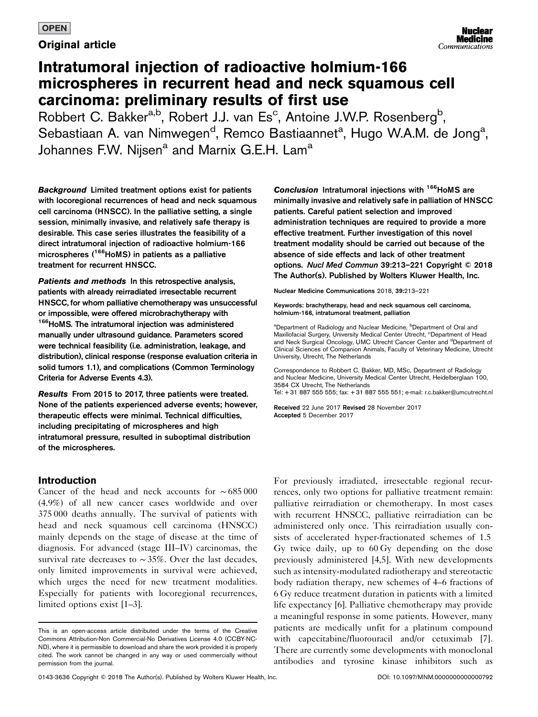## **OPEN**

**Original article** 

# Intratumoral injection of radioactive holmium-166 microspheres in recurrent head and neck squamous cell carcinoma: preliminary results of first use

Robbert C. Bakker<sup>a,b</sup>, Robert J.J. van Es<sup>c</sup>, Antoine J.W.P. Rosenberg<sup>b</sup>, Sebastiaan A. van Nimwegen<sup>d</sup>, Remco Bastiaannet<sup>a</sup>, Hugo W.A.M. de Jong<sup>a</sup>, Johannes F.W. Nijsen<sup>a</sup> and Marnix G.E.H. Lam<sup>a</sup>

Background Limited treatment options exist for patients with locoregional recurrences of head and neck squamous cell carcinoma (HNSCC). In the palliative setting, a single session, minimally invasive, and relatively safe therapy is desirable. This case series illustrates the feasibility of a direct intratumoral injection of radioactive holmium-166 microspheres (<sup>166</sup>HoMS) in patients as a palliative treatment for recurrent HNSCC.

Patients and methods In this retrospective analysis, patients with already reirradiated irresectable recurrent HNSCC, for whom palliative chemotherapy was unsuccessful or impossible, were offered microbrachytherapy with <sup>166</sup>HoMS. The intratumoral injection was administered manually under ultrasound guidance. Parameters scored were technical feasibility (i.e. administration, leakage, and distribution), clinical response (response evaluation criteria in solid tumors 1.1), and complications (Common Terminology Criteria for Adverse Events 4.3).

Results From 2015 to 2017, three patients were treated. None of the patients experienced adverse events; however, therapeutic effects were minimal. Technical difficulties, including precipitating of microspheres and high intratumoral pressure, resulted in suboptimal distribution of the microspheres.

# Introduction

Cancer of the head and neck accounts for ∼ 685 000 (4.9%) of all new cancer cases worldwide and over 375 000 deaths annually. The survival of patients with head and neck squamous cell carcinoma (HNSCC) mainly depends on the stage of disease at the time of diagnosis. For advanced (stage III–IV) carcinomas, the survival rate decreases to ∼35%. Over the last decades, only limited improvements in survival were achieved, which urges the need for new treatment modalities. Especially for patients with locoregional recurrences, limited options exist [\[1](#page-8-0)–3].

Conclusion Intratumoral injections with <sup>166</sup>HoMS are minimally invasive and relatively safe in palliation of HNSCC patients. Careful patient selection and improved administration techniques are required to provide a more effective treatment. Further investigation of this novel treatment modality should be carried out because of the absence of side effects and lack of other treatment options. Nucl Med Commun 39:213–221 Copyright © 2018 The Author(s). Published by Wolters Kluwer Health, Inc.

Nuclear Medicine Communications 2018, 39:213–221

Keywords: brachytherapy, head and neck squamous cell carcinoma, holmium-166, intratumoral treatment, palliation

<sup>a</sup>Department of Radiology and Nuclear Medicine, <sup>b</sup>Department of Oral and Maxillofacial Surgery, University Medical Center Utrecht, <sup>c</sup>Department of Head and Neck Surgical Oncology, UMC Utrecht Cancer Center and <sup>d</sup>Department of Clinical Sciences of Companion Animals, Faculty of Veterinary Medicine, Utrecht University, Utrecht, The Netherlands

Correspondence to Robbert C. Bakker, MD, MSc, Department of Radiology and Nuclear Medicine, University Medical Center Utrecht, Heidelberglaan 100, 3584 CX Utrecht, The Netherlands Tel: + 31 887 555 555; fax: + 31 887 555 551; e-mail: [r.c.bakker@umcutrecht.nl](mailto:r.c.bakker@umcutrecht.nl)

Received 22 June 2017 Revised 28 November 2017 Accepted 5 December 2017

For previously irradiated, irresectable regional recurrences, only two options for palliative treatment remain: palliative reirradiation or chemotherapy. In most cases with recurrent HNSCC, palliative reirradiation can be administered only once. This reirradiation usually consists of accelerated hyper-fractionated schemes of 1.5 Gy twice daily, up to 60 Gy depending on the dose previously administered [\[4,5](#page-8-0)]. With new developments such as intensity-modulated radiotherapy and stereotactic body radiation therapy, new schemes of 4–6 fractions of 6 Gy reduce treatment duration in patients with a limited life expectancy [\[6](#page-8-0)]. Palliative chemotherapy may provide a meaningful response in some patients. However, many patients are medically unfit for a platinum compound with capecitabine/fluorouracil and/or cetuximab [\[7](#page-8-0)]. There are currently some developments with monoclonal antibodies and tyrosine kinase inhibitors such as

This is an open-access article distributed under the terms of the [Creative](http://creativecommons.org/licenses/by-nc-nd/4.0/) [Commons Attribution-Non Commercial-No Derivatives License 4.0](http://creativecommons.org/licenses/by-nc-nd/4.0/) (CCBY-NC-ND), where it is permissible to download and share the work provided it is properly cited. The work cannot be changed in any way or used commercially without permission from the journal.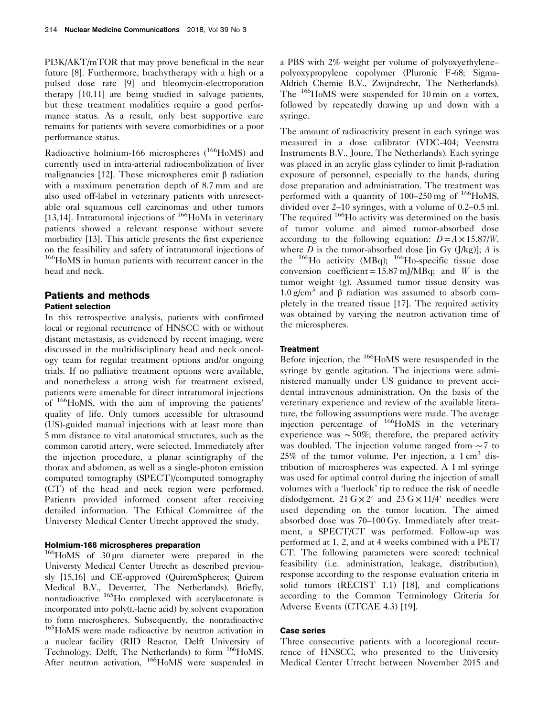PI3K/AKT/mTOR that may prove beneficial in the near future [\[8](#page-8-0)]. Furthermore, brachytherapy with a high or a pulsed dose rate [\[9\]](#page-8-0) and bleomycin-electroporation therapy [\[10,11\]](#page-8-0) are being studied in salvage patients, but these treatment modalities require a good performance status. As a result, only best supportive care remains for patients with severe comorbidities or a poor performance status.

Radioactive holmium-166 microspheres  $(^{166}H_0MS)$  and currently used in intra-arterial radioembolization of liver malignancies [\[12](#page-8-0)]. These microspheres emit β radiation with a maximum penetration depth of 8.7 mm and are also used off-label in veterinary patients with unresectable oral squamous cell carcinomas and other tumors [\[13,14](#page-8-0)]. Intratumoral injections of <sup>166</sup>HoMs in veterinary patients showed a relevant response without severe morbidity [\[13](#page-8-0)]. This article presents the first experience on the feasibility and safety of intratumoral injections of <sup>166</sup>HoMS in human patients with recurrent cancer in the head and neck.

### Patients and methods Patient selection

In this retrospective analysis, patients with confirmed local or regional recurrence of HNSCC with or without distant metastasis, as evidenced by recent imaging, were discussed in the multidisciplinary head and neck oncology team for regular treatment options and/or ongoing trials. If no palliative treatment options were available, and nonetheless a strong wish for treatment existed, patients were amenable for direct intratumoral injections of 166HoMS, with the aim of improving the patients' quality of life. Only tumors accessible for ultrasound (US)-guided manual injections with at least more than 5 mm distance to vital anatomical structures, such as the common carotid artery, were selected. Immediately after the injection procedure, a planar scintigraphy of the thorax and abdomen, as well as a single-photon emission computed tomography (SPECT)/computed tomography (CT) of the head and neck region were performed. Patients provided informed consent after receiving detailed information. The Ethical Committee of the Universty Medical Center Utrecht approved the study.

#### Holmium-166 microspheres preparation

166HoMS of 30 µm diameter were prepared in the Universty Medical Center Utrecht as described previously [\[15,16](#page-8-0)] and CE-approved (QuiremSpheres; Quirem Medical B.V., Deventer, The Netherlands). Briefly, nonradioactive <sup>165</sup>Ho complexed with acetylacetonate is incorporated into poly(L-lactic acid) by solvent evaporation to form microspheres. Subsequently, the nonradioactive 165HoMS were made radioactive by neutron activation in a nuclear facility (RID Reactor, Delft University of Technology, Delft, The Netherlands) to form <sup>166</sup>HoMS. After neutron activation, <sup>166</sup>HoMS were suspended in a PBS with 2% weight per volume of polyoxyethylene– polyoxypropylene copolymer (Pluronic F-68; Sigma-Aldrich Chemie B.V., Zwijndrecht, The Netherlands). The <sup>166</sup>HoMS were suspended for 10 min on a vortex, followed by repeatedly drawing up and down with a syringe.

The amount of radioactivity present in each syringe was measured in a dose calibrator (VDC-404; Veenstra Instruments B.V., Joure, The Netherlands). Each syringe was placed in an acrylic glass cylinder to limit β-radiation exposure of personnel, especially to the hands, during dose preparation and administration. The treatment was performed with a quantity of  $100-250$  mg of  $166$ HoMS, divided over 2–10 syringes, with a volume of 0.2–0.5 ml. The required <sup>166</sup>H<sub>o</sub> activity was determined on the basis of tumor volume and aimed tumor-absorbed dose according to the following equation:  $D = A \times 15.87/W$ , where  $D$  is the tumor-absorbed dose [in Gy (J/kg)];  $A$  is the  $^{166}$ Ho activity (MBq);  $^{166}$ Ho-specific tissue dose conversion coefficient = 15.87 mJ/MBq; and W is the tumor weight (g). Assumed tumor tissue density was 1.0 g/cm<sup>3</sup> and β radiation was assumed to absorb completely in the treated tissue [\[17](#page-8-0)]. The required activity was obtained by varying the neutron activation time of the microspheres.

#### **Treatment**

Before injection, the <sup>166</sup>HoMS were resuspended in the syringe by gentle agitation. The injections were administered manually under US guidance to prevent accidental intravenous administration. On the basis of the veterinary experience and review of the available literature, the following assumptions were made. The average injection percentage of 166HoMS in the veterinary experience was ∼50%; therefore, the prepared activity was doubled. The injection volume ranged from ∼7 to 25% of the tumor volume. Per injection, a  $1 \text{ cm}^3$  distribution of microspheres was expected. A 1 ml syringe was used for optimal control during the injection of small volumes with a 'luerlock' tip to reduce the risk of needle dislodgement. 21  $G \times 2'$  and 23  $G \times 11/4'$  needles were used depending on the tumor location. The aimed absorbed dose was 70–100 Gy. Immediately after treatment, a SPECT/CT was performed. Follow-up was performed at 1, 2, and at 4 weeks combined with a PET/ CT. The following parameters were scored: technical feasibility (i.e. administration, leakage, distribution), response according to the response evaluation criteria in solid tumors (RECIST 1.1) [\[18\]](#page-8-0), and complications according to the Common Terminology Criteria for Adverse Events (CTCAE 4.3) [\[19\]](#page-8-0).

#### Case series

Three consecutive patients with a locoregional recurrence of HNSCC, who presented to the University Medical Center Utrecht between November 2015 and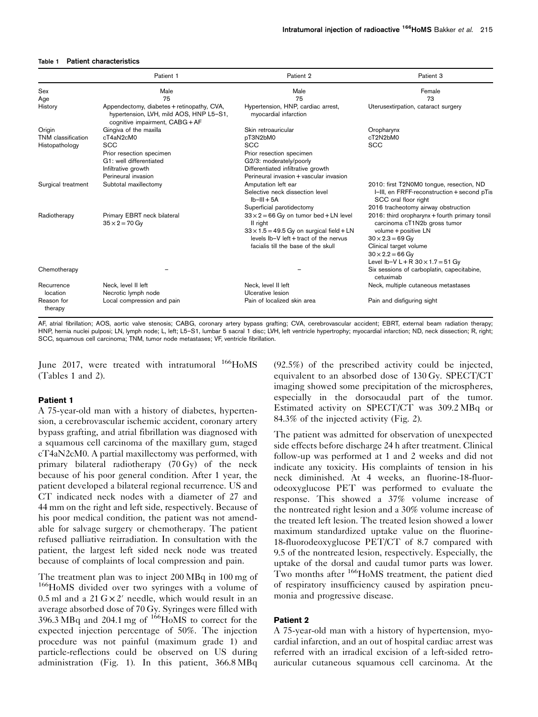#### Table 1 Patient characteristics

|                       | Patient 1                                                                                                              | Patient 2                                                                                                                                                                                      | Patient 3                                                                                                                                                                                                                          |
|-----------------------|------------------------------------------------------------------------------------------------------------------------|------------------------------------------------------------------------------------------------------------------------------------------------------------------------------------------------|------------------------------------------------------------------------------------------------------------------------------------------------------------------------------------------------------------------------------------|
| Sex                   | Male                                                                                                                   | Male                                                                                                                                                                                           | Female                                                                                                                                                                                                                             |
| Age                   | 75                                                                                                                     | 75                                                                                                                                                                                             | 73                                                                                                                                                                                                                                 |
| History               | Appendectomy, diabetes + retinopathy, CVA,<br>hypertension, LVH, mild AOS, HNP L5-S1,<br>cognitive impairment, CABG+AF | Hypertension, HNP, cardiac arrest,<br>myocardial infarction                                                                                                                                    | Uterusextirpation, cataract surgery                                                                                                                                                                                                |
| Origin                | Gingiva of the maxilla                                                                                                 | Skin retroauricular                                                                                                                                                                            | Oropharynx                                                                                                                                                                                                                         |
| TNM classification    | cT4aN2cM0                                                                                                              | pT3N2bM0                                                                                                                                                                                       | cT2N2bM0                                                                                                                                                                                                                           |
| Histopathology        | <b>SCC</b>                                                                                                             | <b>SCC</b>                                                                                                                                                                                     | <b>SCC</b>                                                                                                                                                                                                                         |
|                       | Prior resection specimen                                                                                               | Prior resection specimen                                                                                                                                                                       |                                                                                                                                                                                                                                    |
|                       | G1: well differentiated                                                                                                | G2/3: moderately/poorly                                                                                                                                                                        |                                                                                                                                                                                                                                    |
|                       | Infiltrative growth                                                                                                    | Differentiated infiltrative growth                                                                                                                                                             |                                                                                                                                                                                                                                    |
|                       | Perineural invasion                                                                                                    | Perineural invasion + vascular invasion                                                                                                                                                        |                                                                                                                                                                                                                                    |
| Surgical treatment    | Subtotal maxillectomy                                                                                                  | Amputation left ear<br>Selective neck dissection level<br>$Ib-III+5A$                                                                                                                          | 2010: first T2N0M0 tongue, resection, ND<br>I-III, en FRFF-reconstruction + second pTis<br>SCC oral floor right                                                                                                                    |
|                       |                                                                                                                        | Superficial parotidectomy                                                                                                                                                                      | 2016 tracheotomy airway obstruction                                                                                                                                                                                                |
| Radiotherapy          | Primary EBRT neck bilateral<br>$35 \times 2 = 70$ Gy                                                                   | $33 \times 2 = 66$ Gy on tumor bed + LN level<br>II right<br>$33 \times 1.5 = 49.5$ Gy on surgical field + LN<br>levels lb-V left + tract of the nervus<br>facialis till the base of the skull | 2016: third oropharynx + fourth primary tonsil<br>carcinoma cT1N2b gross tumor<br>volume + positive LN<br>$30 \times 2.3 = 69$ Gy<br>Clinical target volume<br>$30 \times 2.2 = 66$ Gy<br>Level Ib-V L + R $30 \times 1.7 = 51$ Gy |
| Chemotherapy          |                                                                                                                        |                                                                                                                                                                                                | Six sessions of carboplatin, capecitabine,<br>cetuximab                                                                                                                                                                            |
| Recurrence            | Neck, level II left                                                                                                    | Neck, level II left                                                                                                                                                                            | Neck, multiple cutaneous metastases                                                                                                                                                                                                |
| location              | Necrotic lymph node                                                                                                    | Ulcerative lesion                                                                                                                                                                              |                                                                                                                                                                                                                                    |
| Reason for<br>therapy | Local compression and pain                                                                                             | Pain of localized skin area                                                                                                                                                                    | Pain and disfiguring sight                                                                                                                                                                                                         |

AF, atrial fibrillation; AOS, aortic valve stenosis; CABG, coronary artery bypass grafting; CVA, cerebrovascular accident; EBRT, external beam radiation therapy; HNP, hernia nuclei pulposi; LN, lymph node; L, left; L5–S1, lumbar 5 sacral 1 disc; LVH, left ventricle hypertrophy; myocardial infarction; ND, neck dissection; R, right; SCC, squamous cell carcinoma; TNM, tumor node metastases; VF, ventricle fibrillation.

June 2017, were treated with intratumoral <sup>166</sup>HoMS (Tables 1 and [2](#page-3-0)).

#### Patient 1

A 75-year-old man with a history of diabetes, hypertension, a cerebrovascular ischemic accident, coronary artery bypass grafting, and atrial fibrillation was diagnosed with a squamous cell carcinoma of the maxillary gum, staged cT4aN2cM0. A partial maxillectomy was performed, with primary bilateral radiotherapy (70 Gy) of the neck because of his poor general condition. After 1 year, the patient developed a bilateral regional recurrence. US and CT indicated neck nodes with a diameter of 27 and 44 mm on the right and left side, respectively. Because of his poor medical condition, the patient was not amendable for salvage surgery or chemotherapy. The patient refused palliative reirradiation. In consultation with the patient, the largest left sided neck node was treated because of complaints of local compression and pain.

The treatment plan was to inject 200 MBq in 100 mg of 166HoMS divided over two syringes with a volume of 0.5 ml and a  $21 \text{ G} \times 2'$  needle, which would result in an average absorbed dose of 70 Gy. Syringes were filled with  $396.3 \text{ MBq}$  and  $204.1 \text{ mg}$  of  $166 \text{ HoMS}$  to correct for the expected injection percentage of 50%. The injection procedure was not painful (maximum grade 1) and particle-reflections could be observed on US during administration ([Fig. 1](#page-4-0)). In this patient, 366.8 MBq (92.5%) of the prescribed activity could be injected, equivalent to an absorbed dose of 130 Gy. SPECT/CT imaging showed some precipitation of the microspheres, especially in the dorsocaudal part of the tumor. Estimated activity on SPECT/CT was 309.2 MBq or 84.3% of the injected activity [\(Fig. 2](#page-5-0)).

The patient was admitted for observation of unexpected side effects before discharge 24 h after treatment. Clinical follow-up was performed at 1 and 2 weeks and did not indicate any toxicity. His complaints of tension in his neck diminished. At 4 weeks, an fluorine-18-fluorodeoxyglucose PET was performed to evaluate the response. This showed a 37% volume increase of the nontreated right lesion and a 30% volume increase of the treated left lesion. The treated lesion showed a lower maximum standardized uptake value on the fluorine-18-fluorodeoxyglucose PET/CT of 8.7 compared with 9.5 of the nontreated lesion, respectively. Especially, the uptake of the dorsal and caudal tumor parts was lower. Two months after <sup>166</sup>HoMS treatment, the patient died of respiratory insufficiency caused by aspiration pneumonia and progressive disease.

## Patient 2

A 75-year-old man with a history of hypertension, myocardial infarction, and an out of hospital cardiac arrest was referred with an irradical excision of a left-sided retroauricular cutaneous squamous cell carcinoma. At the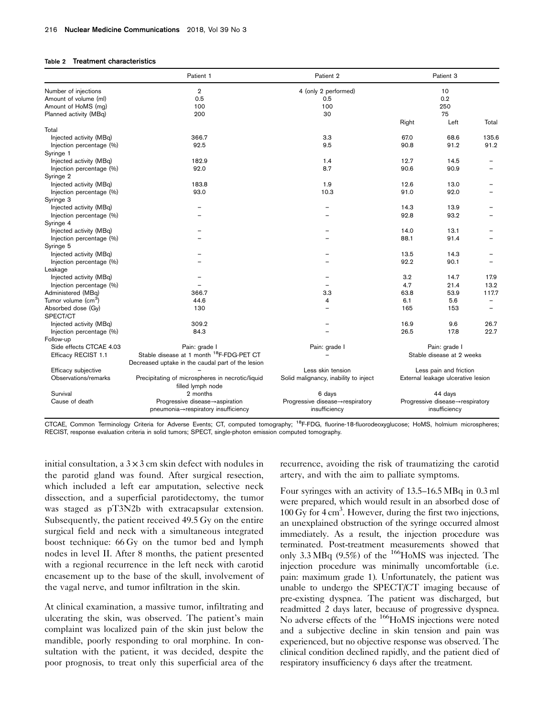#### <span id="page-3-0"></span>Table 2 Treatment characteristics

|                                             | Patient 1                                            | Patient 2                             |                                    | Patient 3     |                          |
|---------------------------------------------|------------------------------------------------------|---------------------------------------|------------------------------------|---------------|--------------------------|
| Number of injections                        | $\overline{2}$                                       | 4 (only 2 performed)                  | 10                                 |               |                          |
| Amount of volume (ml)                       | 0.5                                                  | 0.5                                   | 0.2                                |               |                          |
| Amount of HoMS (mg)                         | 100                                                  | 100                                   | 250                                |               |                          |
| Planned activity (MBq)                      | 200                                                  | 30                                    |                                    | 75            |                          |
| Total                                       |                                                      |                                       | Right                              | Left          | Total                    |
| Injected activity (MBq)                     | 366.7                                                | 3.3                                   | 67.0                               | 68.6          | 135.6                    |
| Injection percentage (%)                    | 92.5                                                 | 9.5                                   | 90.8                               | 91.2          | 91.2                     |
| Syringe 1                                   |                                                      |                                       |                                    |               |                          |
| Injected activity (MBq)                     | 182.9                                                | 1.4                                   | 12.7                               | 14.5          |                          |
| Injection percentage (%)                    | 92.0                                                 | 8.7                                   | 90.6                               | 90.9          |                          |
| Syringe 2                                   |                                                      |                                       |                                    |               |                          |
| Injected activity (MBq)                     | 183.8                                                | 1.9                                   | 12.6                               | 13.0          |                          |
| Injection percentage (%)                    | 93.0                                                 | 10.3                                  | 91.0                               | 92.0          |                          |
| Syringe 3                                   |                                                      |                                       |                                    |               |                          |
| Injected activity (MBq)                     |                                                      |                                       | 14.3                               | 13.9          |                          |
| Injection percentage (%)                    |                                                      |                                       | 92.8                               | 93.2          | $\overline{\phantom{0}}$ |
| Syringe 4                                   |                                                      |                                       |                                    |               |                          |
| Injected activity (MBq)                     |                                                      |                                       | 14.0                               | 13.1          |                          |
| Injection percentage (%)                    |                                                      |                                       | 88.1                               | 91.4          |                          |
| Syringe 5                                   |                                                      |                                       |                                    |               |                          |
| Injected activity (MBq)                     |                                                      |                                       | 13.5                               | 14.3          |                          |
| Injection percentage (%)                    |                                                      |                                       | 92.2                               | 90.1          | $\overline{\phantom{0}}$ |
| Leakage                                     |                                                      |                                       |                                    |               |                          |
| Injected activity (MBq)                     |                                                      |                                       | 3.2                                | 14.7          | 17.9                     |
| Injection percentage (%)                    |                                                      |                                       | 4.7                                | 21.4          | 13.2                     |
| Administered (MBq)                          | 366.7                                                | 3.3                                   | 63.8                               | 53.9          | 117.7                    |
| Tumor volume (cm <sup>3</sup> )             | 44.6                                                 | 4                                     | 6.1                                | 5.6           | $\overline{\phantom{0}}$ |
| Absorbed dose (Gy)                          | 130                                                  |                                       | 165                                | 153           | $\overline{\phantom{0}}$ |
| SPECT/CT                                    |                                                      |                                       |                                    |               |                          |
| Injected activity (MBq)                     | 309.2                                                |                                       | 16.9                               | 9.6           | 26.7                     |
| Injection percentage (%)                    | 84.3                                                 |                                       | 26.5                               | 17.8          | 22.7                     |
| Follow-up<br>Side effects CTCAE 4.03        | Pain: grade I                                        |                                       |                                    |               |                          |
|                                             | Stable disease at 1 month <sup>18</sup> F-FDG-PET CT | Pain: grade I                         | Pain: grade I                      |               |                          |
| Efficacy RECIST 1.1                         |                                                      |                                       | Stable disease at 2 weeks          |               |                          |
|                                             | Decreased uptake in the caudal part of the lesion    | Less skin tension                     |                                    |               |                          |
| Efficacy subjective<br>Observations/remarks | Precipitating of microspheres in necrotic/liquid     |                                       | Less pain and friction             |               |                          |
|                                             | filled lymph node                                    | Solid malignancy, inability to inject | External leakage ulcerative lesion |               |                          |
| Survival                                    | 2 months                                             | 6 days                                | 44 days                            |               |                          |
| Cause of death                              | Progressive disease $\rightarrow$ aspiration         | Progressive disease→respiratory       | Progressive disease→respiratory    |               |                          |
|                                             | pneumonia→respiratory insufficiency                  | insufficiency                         |                                    | insufficiency |                          |

CTCAE, Common Terminology Criteria for Adverse Events; CT, computed tomography; <sup>18</sup>F-FDG, fluorine-18-fluorodeoxyglucose; HoMS, holmium microspheres; RECIST, response evaluation criteria in solid tumors; SPECT, single-photon emission computed tomography.

initial consultation, a  $3 \times 3$  cm skin defect with nodules in the parotid gland was found. After surgical resection, which included a left ear amputation, selective neck dissection, and a superficial parotidectomy, the tumor was staged as pT3N2b with extracapsular extension. Subsequently, the patient received 49.5 Gy on the entire surgical field and neck with a simultaneous integrated boost technique: 66 Gy on the tumor bed and lymph nodes in level II. After 8 months, the patient presented with a regional recurrence in the left neck with carotid encasement up to the base of the skull, involvement of the vagal nerve, and tumor infiltration in the skin.

At clinical examination, a massive tumor, infiltrating and ulcerating the skin, was observed. The patient's main complaint was localized pain of the skin just below the mandible, poorly responding to oral morphine. In consultation with the patient, it was decided, despite the poor prognosis, to treat only this superficial area of the

recurrence, avoiding the risk of traumatizing the carotid artery, and with the aim to palliate symptoms.

Four syringes with an activity of 13.5–16.5 MBq in 0.3 ml were prepared, which would result in an absorbed dose of 100 Gy for 4 cm<sup>3</sup>. However, during the first two injections, an unexplained obstruction of the syringe occurred almost immediately. As a result, the injection procedure was terminated. Post-treatment measurements showed that only 3.3 MBq  $(9.5\%)$  of the <sup>166</sup>HoMS was injected. The injection procedure was minimally uncomfortable (i.e. pain: maximum grade 1). Unfortunately, the patient was unable to undergo the SPECT/CT imaging because of pre-existing dyspnea. The patient was discharged, but readmitted 2 days later, because of progressive dyspnea. No adverse effects of the <sup>166</sup>HoMS injections were noted and a subjective decline in skin tension and pain was experienced, but no objective response was observed. The clinical condition declined rapidly, and the patient died of respiratory insufficiency 6 days after the treatment.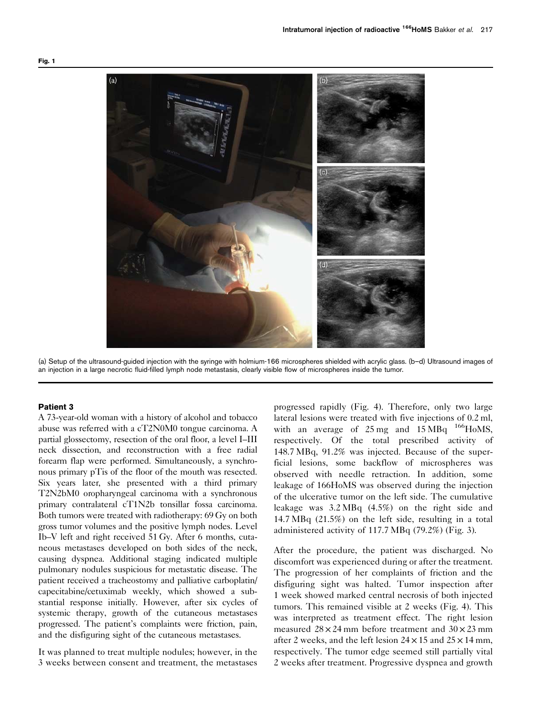<span id="page-4-0"></span>

(a) Setup of the ultrasound-guided injection with the syringe with holmium-166 microspheres shielded with acrylic glass. (b–d) Ultrasound images of an injection in a large necrotic fluid-filled lymph node metastasis, clearly visible flow of microspheres inside the tumor.

#### Patient 3

A 73-year-old woman with a history of alcohol and tobacco abuse was referred with a cT2N0M0 tongue carcinoma. A partial glossectomy, resection of the oral floor, a level I–III neck dissection, and reconstruction with a free radial forearm flap were performed. Simultaneously, a synchronous primary pTis of the floor of the mouth was resected. Six years later, she presented with a third primary T2N2bM0 oropharyngeal carcinoma with a synchronous primary contralateral cT1N2b tonsillar fossa carcinoma. Both tumors were treated with radiotherapy: 69 Gy on both gross tumor volumes and the positive lymph nodes. Level Ib–V left and right received 51 Gy. After 6 months, cutaneous metastases developed on both sides of the neck, causing dyspnea. Additional staging indicated multiple pulmonary nodules suspicious for metastatic disease. The patient received a tracheostomy and palliative carboplatin/ capecitabine/cetuximab weekly, which showed a substantial response initially. However, after six cycles of systemic therapy, growth of the cutaneous metastases progressed. The patient's complaints were friction, pain, and the disfiguring sight of the cutaneous metastases.

It was planned to treat multiple nodules; however, in the 3 weeks between consent and treatment, the metastases

progressed rapidly [\(Fig. 4](#page-7-0)). Therefore, only two large lateral lesions were treated with five injections of 0.2 ml, with an average of  $25 \text{ mg}$  and  $15 \text{ MBq}$   $166 \text{ HoMS}$ , respectively. Of the total prescribed activity of 148.7 MBq, 91.2% was injected. Because of the superficial lesions, some backflow of microspheres was observed with needle retraction. In addition, some leakage of 166HoMS was observed during the injection of the ulcerative tumor on the left side. The cumulative leakage was 3.2 MBq (4.5%) on the right side and 14.7 MBq (21.5%) on the left side, resulting in a total administered activity of 117.7 MBq (79.2%) ([Fig. 3\)](#page-6-0).

After the procedure, the patient was discharged. No discomfort was experienced during or after the treatment. The progression of her complaints of friction and the disfiguring sight was halted. Tumor inspection after 1 week showed marked central necrosis of both injected tumors. This remained visible at 2 weeks ([Fig. 4](#page-7-0)). This was interpreted as treatment effect. The right lesion measured  $28 \times 24$  mm before treatment and  $30 \times 23$  mm after 2 weeks, and the left lesion  $24 \times 15$  and  $25 \times 14$  mm, respectively. The tumor edge seemed still partially vital 2 weeks after treatment. Progressive dyspnea and growth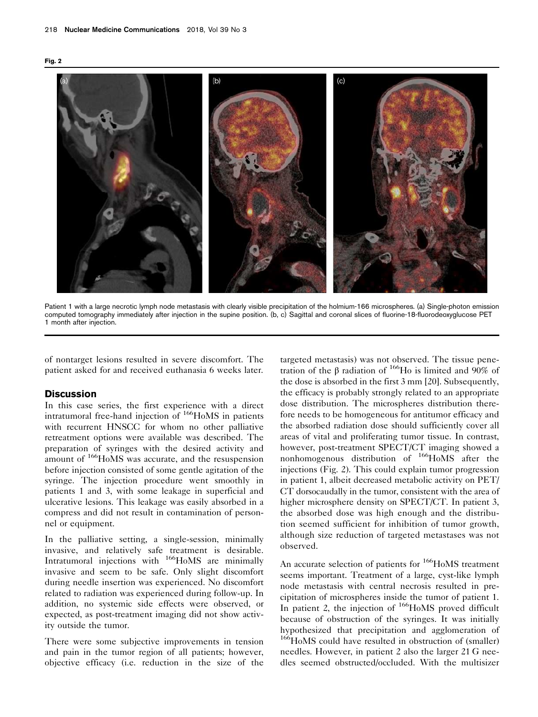<span id="page-5-0"></span>



Patient 1 with a large necrotic lymph node metastasis with clearly visible precipitation of the holmium-166 microspheres. (a) Single-photon emission computed tomography immediately after injection in the supine position. (b, c) Sagittal and coronal slices of fluorine-18-fluorodeoxyglucose PET 1 month after injection.

of nontarget lesions resulted in severe discomfort. The patient asked for and received euthanasia 6 weeks later.

## **Discussion**

In this case series, the first experience with a direct intratumoral free-hand injection of <sup>166</sup>HoMS in patients with recurrent HNSCC for whom no other palliative retreatment options were available was described. The preparation of syringes with the desired activity and amount of <sup>166</sup>HoMS was accurate, and the resuspension before injection consisted of some gentle agitation of the syringe. The injection procedure went smoothly in patients 1 and 3, with some leakage in superficial and ulcerative lesions. This leakage was easily absorbed in a compress and did not result in contamination of personnel or equipment.

In the palliative setting, a single-session, minimally invasive, and relatively safe treatment is desirable. Intratumoral injections with <sup>166</sup>HoMS are minimally invasive and seem to be safe. Only slight discomfort during needle insertion was experienced. No discomfort related to radiation was experienced during follow-up. In addition, no systemic side effects were observed, or expected, as post-treatment imaging did not show activity outside the tumor.

There were some subjective improvements in tension and pain in the tumor region of all patients; however, objective efficacy (i.e. reduction in the size of the

targeted metastasis) was not observed. The tissue penetration of the β radiation of 166Ho is limited and 90% of the dose is absorbed in the first 3 mm [\[20\]](#page-8-0). Subsequently, the efficacy is probably strongly related to an appropriate dose distribution. The microspheres distribution therefore needs to be homogeneous for antitumor efficacy and the absorbed radiation dose should sufficiently cover all areas of vital and proliferating tumor tissue. In contrast, however, post-treatment SPECT/CT imaging showed a nonhomogenous distribution of 166HoMS after the injections (Fig. 2). This could explain tumor progression in patient 1, albeit decreased metabolic activity on PET/ CT dorsocaudally in the tumor, consistent with the area of higher microsphere density on SPECT/CT. In patient 3, the absorbed dose was high enough and the distribution seemed sufficient for inhibition of tumor growth, although size reduction of targeted metastases was not observed.

An accurate selection of patients for <sup>166</sup>HoMS treatment seems important. Treatment of a large, cyst-like lymph node metastasis with central necrosis resulted in precipitation of microspheres inside the tumor of patient 1. In patient 2, the injection of <sup>166</sup>HoMS proved difficult because of obstruction of the syringes. It was initially hypothesized that precipitation and agglomeration of <sup>166</sup>HoMS could have resulted in obstruction of (smaller) needles. However, in patient 2 also the larger 21 G needles seemed obstructed/occluded. With the multisizer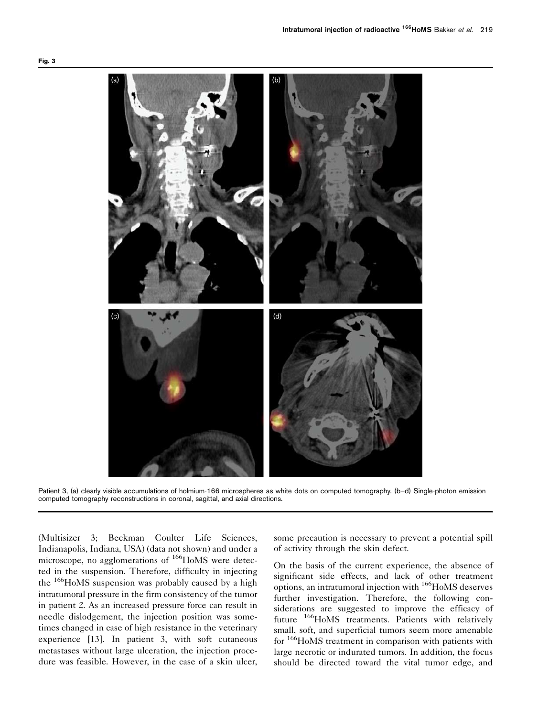<span id="page-6-0"></span>

Patient 3, (a) clearly visible accumulations of holmium-166 microspheres as white dots on computed tomography. (b–d) Single-photon emission computed tomography reconstructions in coronal, sagittal, and axial directions.

(Multisizer 3; Beckman Coulter Life Sciences, Indianapolis, Indiana, USA) (data not shown) and under a microscope, no agglomerations of <sup>166</sup>HoMS were detected in the suspension. Therefore, difficulty in injecting the 166HoMS suspension was probably caused by a high intratumoral pressure in the firm consistency of the tumor in patient 2. As an increased pressure force can result in needle dislodgement, the injection position was sometimes changed in case of high resistance in the veterinary experience [\[13\]](#page-8-0). In patient 3, with soft cutaneous metastases without large ulceration, the injection procedure was feasible. However, in the case of a skin ulcer,

some precaution is necessary to prevent a potential spill of activity through the skin defect.

On the basis of the current experience, the absence of significant side effects, and lack of other treatment options, an intratumoral injection with 166HoMS deserves further investigation. Therefore, the following considerations are suggested to improve the efficacy of future <sup>166</sup>HoMS treatments. Patients with relatively small, soft, and superficial tumors seem more amenable for <sup>166</sup>HoMS treatment in comparison with patients with large necrotic or indurated tumors. In addition, the focus should be directed toward the vital tumor edge, and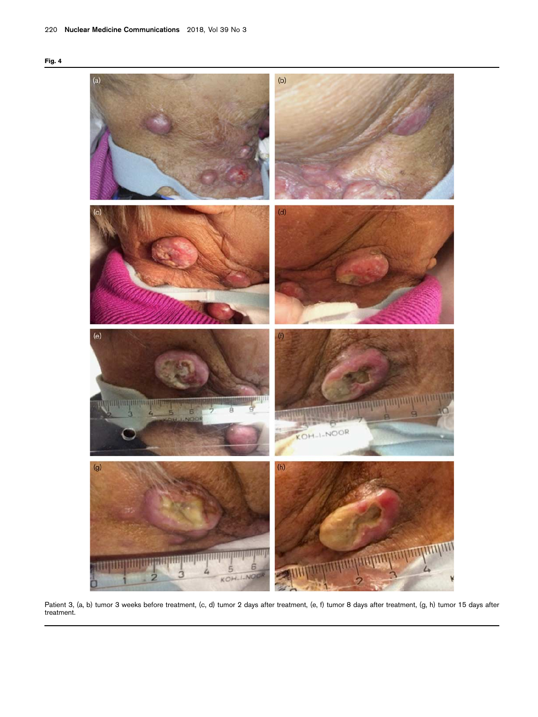<span id="page-7-0"></span>



Patient 3, (a, b) tumor 3 weeks before treatment, (c, d) tumor 2 days after treatment, (e, f) tumor 8 days after treatment, (g, h) tumor 15 days after treatment.